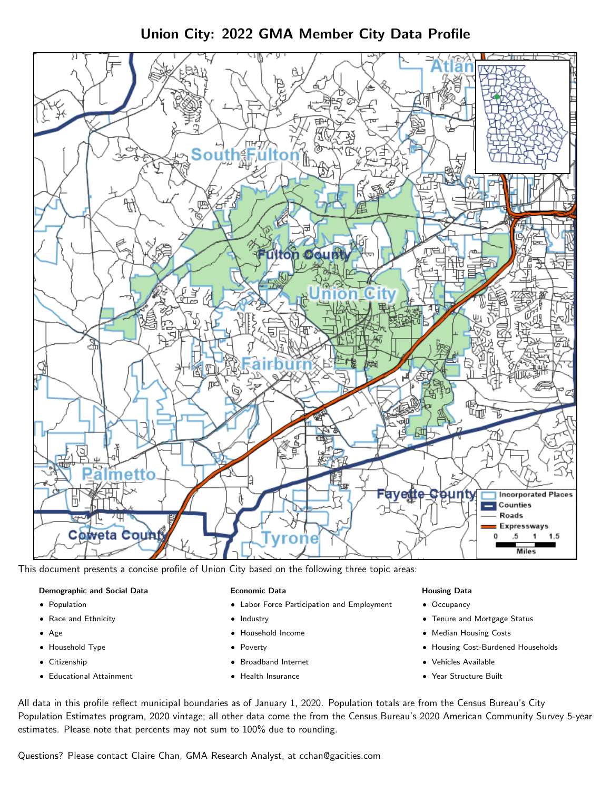Union City: 2022 GMA Member City Data Profile



This document presents a concise profile of Union City based on the following three topic areas:

#### Demographic and Social Data

- **•** Population
- Race and Ethnicity
- Age
- Household Type
- **Citizenship**
- Educational Attainment

### Economic Data

- Labor Force Participation and Employment
- Industry
- Household Income
- Poverty
- Broadband Internet
- Health Insurance

### Housing Data

- Occupancy
- Tenure and Mortgage Status
- Median Housing Costs
- Housing Cost-Burdened Households
- Vehicles Available
- Year Structure Built

All data in this profile reflect municipal boundaries as of January 1, 2020. Population totals are from the Census Bureau's City Population Estimates program, 2020 vintage; all other data come the from the Census Bureau's 2020 American Community Survey 5-year estimates. Please note that percents may not sum to 100% due to rounding.

Questions? Please contact Claire Chan, GMA Research Analyst, at [cchan@gacities.com.](mailto:cchan@gacities.com)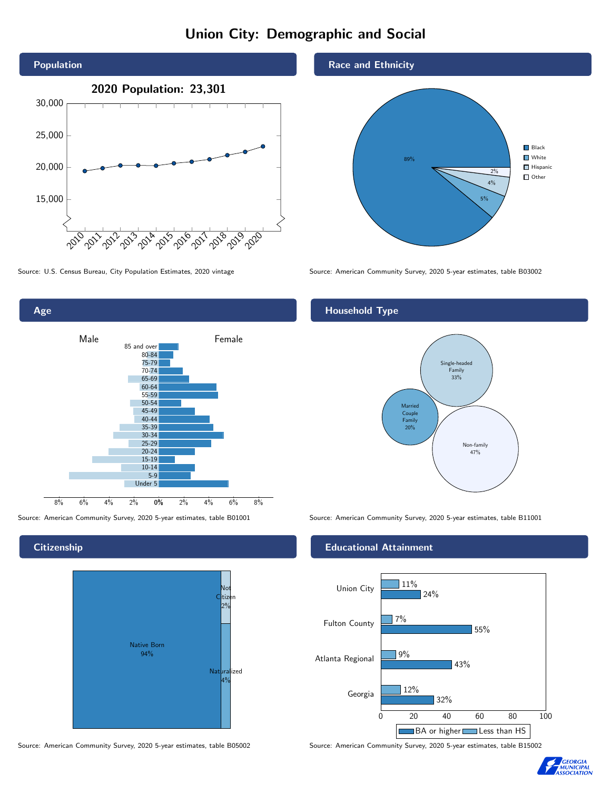# Union City: Demographic and Social





### **Citizenship**



Source: American Community Survey, 2020 5-year estimates, table B05002 Source: American Community Survey, 2020 5-year estimates, table B15002



Source: U.S. Census Bureau, City Population Estimates, 2020 vintage Source: American Community Survey, 2020 5-year estimates, table B03002

## Household Type



Source: American Community Survey, 2020 5-year estimates, table B01001 Source: American Community Survey, 2020 5-year estimates, table B11001

### Educational Attainment



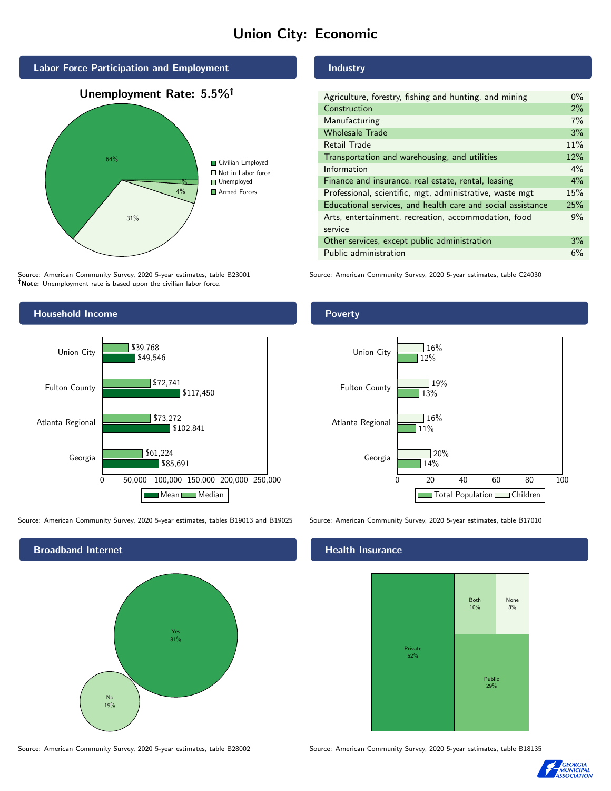# Union City: Economic



Source: American Community Survey, 2020 5-year estimates, table B23001 Note: Unemployment rate is based upon the civilian labor force.



Source: American Community Survey, 2020 5-year estimates, tables B19013 and B19025 Source: American Community Survey, 2020 5-year estimates, table B17010



Source: American Community Survey, 2020 5-year estimates, table B28002 Source: American Community Survey, 2020 5-year estimates, table B18135

## Industry

| Agriculture, forestry, fishing and hunting, and mining      | $0\%$ |
|-------------------------------------------------------------|-------|
| Construction                                                | $2\%$ |
| Manufacturing                                               | 7%    |
| <b>Wholesale Trade</b>                                      | 3%    |
| Retail Trade                                                | 11%   |
| Transportation and warehousing, and utilities               | 12%   |
| Information                                                 | $4\%$ |
| Finance and insurance, real estate, rental, leasing         | 4%    |
| Professional, scientific, mgt, administrative, waste mgt    | 15%   |
| Educational services, and health care and social assistance | 25%   |
| Arts, entertainment, recreation, accommodation, food        | 9%    |
| service                                                     |       |
| Other services, except public administration                | 3%    |
| Public administration                                       | 6%    |

Source: American Community Survey, 2020 5-year estimates, table C24030

## Poverty



#### Health Insurance